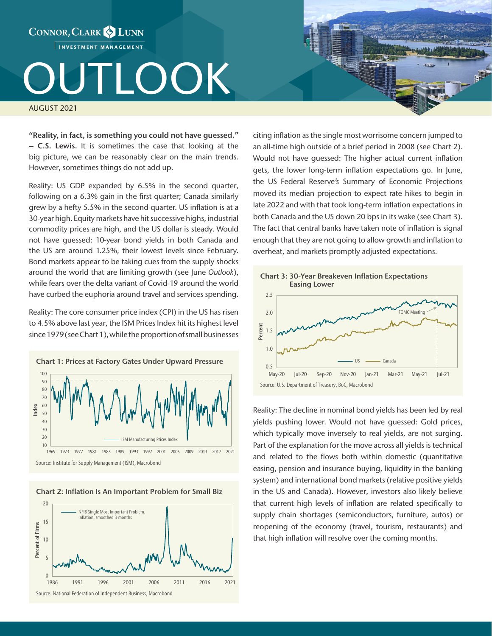

"Reality, in fact, is something you could not have guessed." – C.S. Lewis. It is sometimes the case that looking at the big picture, we can be reasonably clear on the main trends.

However, sometimes things do not add up.

Reality: US GDP expanded by 6.5% in the second quarter, following on a 6.3% gain in the first quarter; Canada similarly grew by a hefty 5.5% in the second quarter. US inflation is at a 30-year high. Equity markets have hit successive highs, industrial commodity prices are high, and the US dollar is steady. Would not have guessed: 10-year bond yields in both Canada and the US are around 1.25%, their lowest levels since February. Bond markets appear to be taking cues from the supply shocks around the world that are limiting growth (see June *Outlook*), while fears over the delta variant of Covid-19 around the world have curbed the euphoria around travel and services spending.

Reality: The core consumer price index (CPI) in the US has risen to 4.5% above last year, the ISM Prices Index hit its highest level since 1979 (see Chart 1), while the proportion of small businesses



Chart 2: Inflation Is An Important Problem for Small Biz



citing inflation as the single most worrisome concern jumped to an all-time high outside of a brief period in 2008 (see Chart 2). Would not have guessed: The higher actual current inflation gets, the lower long-term inflation expectations go. In June, the US Federal Reserve's Summary of Economic Projections moved its median projection to expect rate hikes to begin in late 2022 and with that took long-term inflation expectations in both Canada and the US down 20 bps in its wake (see Chart 3). The fact that central banks have taken note of inflation is signal enough that they are not going to allow growth and inflation to overheat, and markets promptly adjusted expectations.



Reality: The decline in nominal bond yields has been led by real yields pushing lower. Would not have guessed: Gold prices, which typically move inversely to real yields, are not surging. Part of the explanation for the move across all yields is technical and related to the flows both within domestic (quantitative easing, pension and insurance buying, liquidity in the banking system) and international bond markets (relative positive yields in the US and Canada). However, investors also likely believe that current high levels of inflation are related specifically to supply chain shortages (semiconductors, furniture, autos) or reopening of the economy (travel, tourism, restaurants) and that high inflation will resolve over the coming months.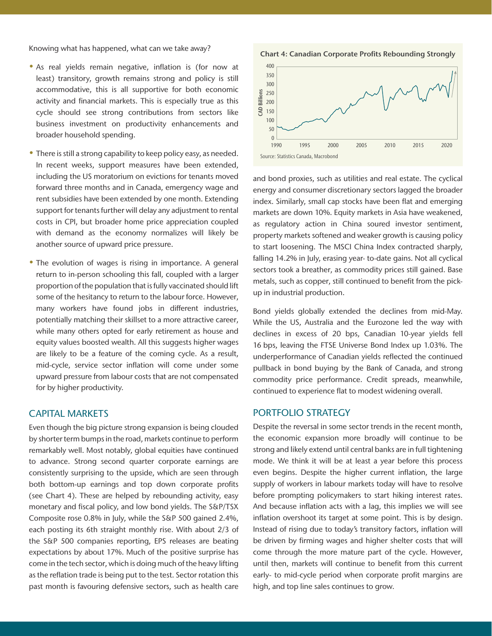Knowing what has happened, what can we take away?

- As real yields remain negative, inflation is (for now at least) transitory, growth remains strong and policy is still accommodative, this is all supportive for both economic activity and financial markets. This is especially true as this cycle should see strong contributions from sectors like business investment on productivity enhancements and broader household spending.
- There is still a strong capability to keep policy easy, as needed. In recent weeks, support measures have been extended, including the US moratorium on evictions for tenants moved forward three months and in Canada, emergency wage and rent subsidies have been extended by one month. Extending support for tenants further will delay any adjustment to rental costs in CPI, but broader home price appreciation coupled with demand as the economy normalizes will likely be another source of upward price pressure.
- The evolution of wages is rising in importance. A general return to in-person schooling this fall, coupled with a larger proportion of the population that is fully vaccinated should lift some of the hesitancy to return to the labour force. However, many workers have found jobs in different industries, potentially matching their skillset to a more attractive career, while many others opted for early retirement as house and equity values boosted wealth. All this suggests higher wages are likely to be a feature of the coming cycle. As a result, mid‑cycle, service sector inflation will come under some upward pressure from labour costs that are not compensated for by higher productivity.

## CAPITAL MARKETS

Even though the big picture strong expansion is being clouded by shorter term bumps in the road, markets continue to perform remarkably well. Most notably, global equities have continued to advance. Strong second quarter corporate earnings are consistently surprising to the upside, which are seen through both bottom-up earnings and top down corporate profits (see Chart 4). These are helped by rebounding activity, easy monetary and fiscal policy, and low bond yields. The S&P/TSX Composite rose 0.8% in July, while the S&P 500 gained 2.4%, each posting its 6th straight monthly rise. With about 2/3 of the S&P 500 companies reporting, EPS releases are beating expectations by about 17%. Much of the positive surprise has come in the tech sector, which is doing much of the heavy lifting as the reflation trade is being put to the test. Sector rotation this past month is favouring defensive sectors, such as health care

400 350 300 Billions CAD Billions 250 200 GK. 150 100 50  $\Omega$ 1990 1995 2000 2005 2010 2015 2020 Source: Statistics Canada, Macrobond

Chart 4: Canadian Corporate Profits Rebounding Strongly

and bond proxies, such as utilities and real estate. The cyclical energy and consumer discretionary sectors lagged the broader index. Similarly, small cap stocks have been flat and emerging markets are down 10%. Equity markets in Asia have weakened, as regulatory action in China soured investor sentiment, property markets softened and weaker growth is causing policy to start loosening. The MSCI China Index contracted sharply, falling 14.2% in July, erasing year- to-date gains. Not all cyclical sectors took a breather, as commodity prices still gained. Base metals, such as copper, still continued to benefit from the pickup in industrial production.

Bond yields globally extended the declines from mid-May. While the US, Australia and the Eurozone led the way with declines in excess of 20 bps, Canadian 10-year yields fell 16 bps, leaving the FTSE Universe Bond Index up 1.03%. The underperformance of Canadian yields reflected the continued pullback in bond buying by the Bank of Canada, and strong commodity price performance. Credit spreads, meanwhile, continued to experience flat to modest widening overall.

## PORTFOLIO STRATEGY

Despite the reversal in some sector trends in the recent month, the economic expansion more broadly will continue to be strong and likely extend until central banks are in full tightening mode. We think it will be at least a year before this process even begins. Despite the higher current inflation, the large supply of workers in labour markets today will have to resolve before prompting policymakers to start hiking interest rates. And because inflation acts with a lag, this implies we will see inflation overshoot its target at some point. This is by design. Instead of rising due to today's transitory factors, inflation will be driven by firming wages and higher shelter costs that will come through the more mature part of the cycle. However, until then, markets will continue to benefit from this current early- to mid-cycle period when corporate profit margins are high, and top line sales continues to grow.